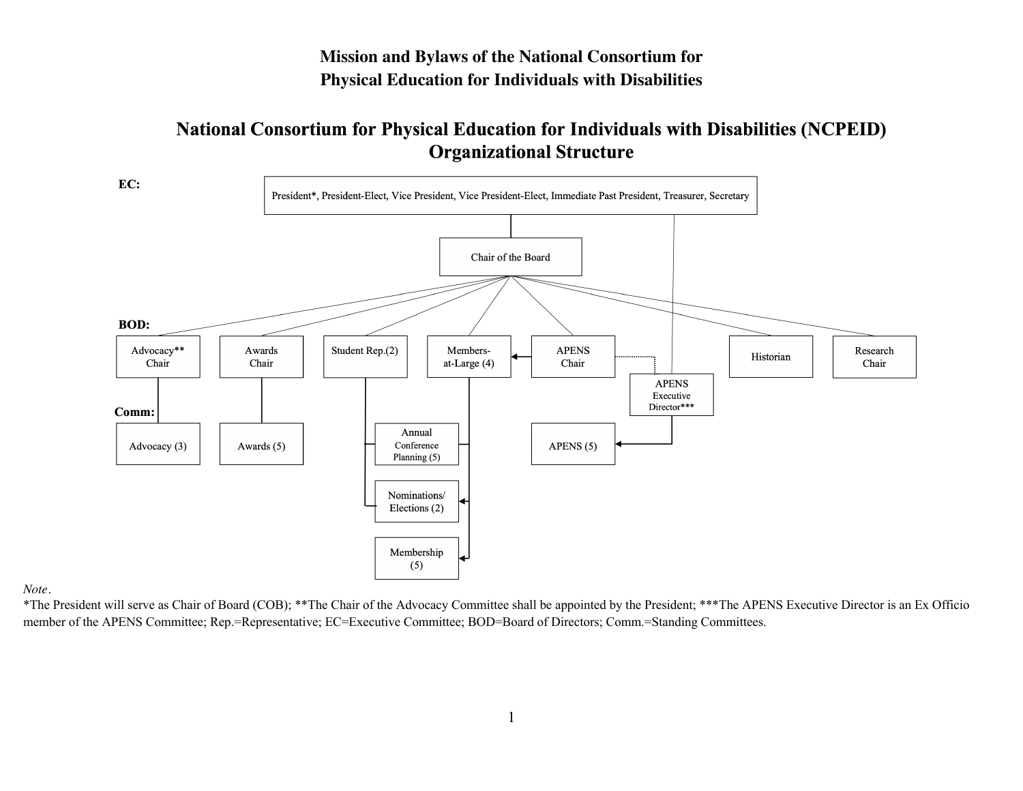# **Mission and Bylaws of the National Consortium for Physical Education for Individuals with Disabilities**

# **National Consortium for Physical Education for Individuals with Disabilities (NCPEID) Organizational Structure**



*Note.*

\*The President will serve as Chair of Board (COB); \*\*The Chair of the Advocacy Committee shall be appointed by the President; \*\*\*The APENS Executive Director is an Ex Officio member of the APENS Committee; Rep.=Representative; EC=Executive Committee; BOD=Board of Directors; Comm.=Standing Committees.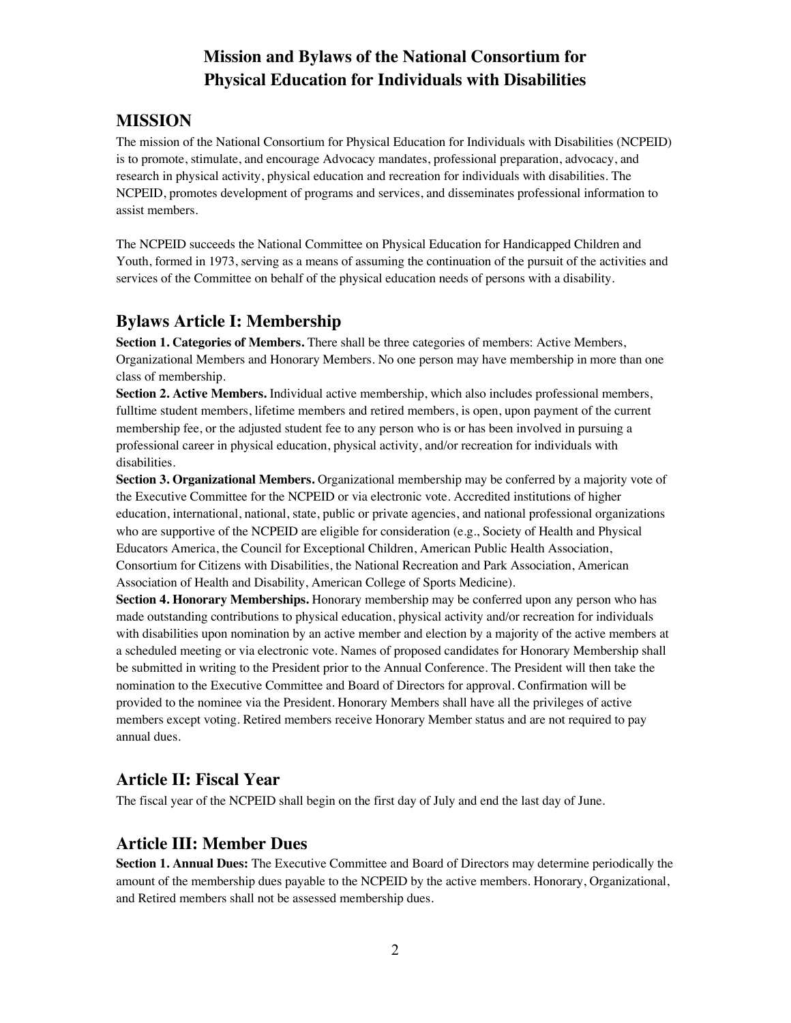# **Mission and Bylaws of the National Consortium for Physical Education for Individuals with Disabilities**

# **MISSION**

The mission of the National Consortium for Physical Education for Individuals with Disabilities (NCPEID) is to promote, stimulate, and encourage Advocacy mandates, professional preparation, advocacy, and research in physical activity, physical education and recreation for individuals with disabilities. The NCPEID, promotes development of programs and services, and disseminates professional information to assist members.

The NCPEID succeeds the National Committee on Physical Education for Handicapped Children and Youth, formed in 1973, serving as a means of assuming the continuation of the pursuit of the activities and services of the Committee on behalf of the physical education needs of persons with a disability.

# **Bylaws Article I: Membership**

**Section 1. Categories of Members.** There shall be three categories of members: Active Members, Organizational Members and Honorary Members. No one person may have membership in more than one class of membership.

**Section 2. Active Members.** Individual active membership, which also includes professional members, fulltime student members, lifetime members and retired members, is open, upon payment of the current membership fee, or the adjusted student fee to any person who is or has been involved in pursuing a professional career in physical education, physical activity, and/or recreation for individuals with disabilities.

**Section 3. Organizational Members.** Organizational membership may be conferred by a majority vote of the Executive Committee for the NCPEID or via electronic vote. Accredited institutions of higher education, international, national, state, public or private agencies, and national professional organizations who are supportive of the NCPEID are eligible for consideration (e.g., Society of Health and Physical Educators America, the Council for Exceptional Children, American Public Health Association, Consortium for Citizens with Disabilities, the National Recreation and Park Association, American Association of Health and Disability, American College of Sports Medicine).

**Section 4. Honorary Memberships.** Honorary membership may be conferred upon any person who has made outstanding contributions to physical education, physical activity and/or recreation for individuals with disabilities upon nomination by an active member and election by a majority of the active members at a scheduled meeting or via electronic vote. Names of proposed candidates for Honorary Membership shall be submitted in writing to the President prior to the Annual Conference. The President will then take the nomination to the Executive Committee and Board of Directors for approval. Confirmation will be provided to the nominee via the President. Honorary Members shall have all the privileges of active members except voting. Retired members receive Honorary Member status and are not required to pay annual dues.

# **Article II: Fiscal Year**

The fiscal year of the NCPEID shall begin on the first day of July and end the last day of June.

## **Article III: Member Dues**

**Section 1. Annual Dues:** The Executive Committee and Board of Directors may determine periodically the amount of the membership dues payable to the NCPEID by the active members. Honorary, Organizational, and Retired members shall not be assessed membership dues.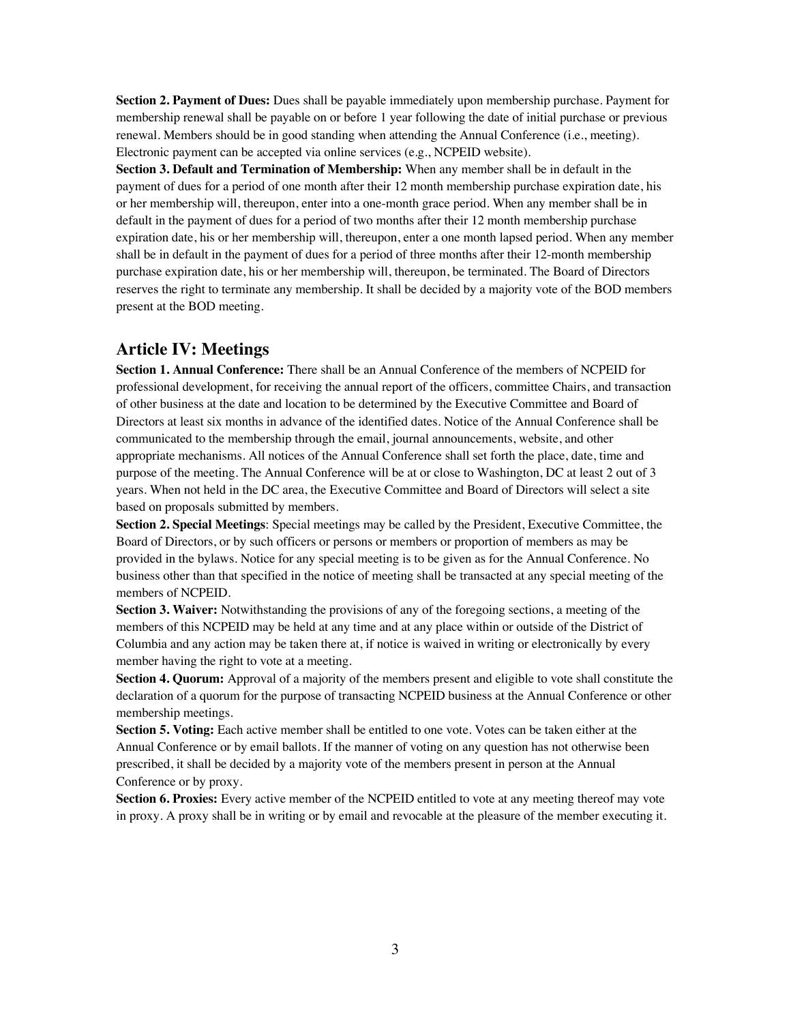**Section 2. Payment of Dues:** Dues shall be payable immediately upon membership purchase. Payment for membership renewal shall be payable on or before 1 year following the date of initial purchase or previous renewal. Members should be in good standing when attending the Annual Conference (i.e., meeting). Electronic payment can be accepted via online services (e.g., NCPEID website).

**Section 3. Default and Termination of Membership:** When any member shall be in default in the payment of dues for a period of one month after their 12 month membership purchase expiration date, his or her membership will, thereupon, enter into a one-month grace period. When any member shall be in default in the payment of dues for a period of two months after their 12 month membership purchase expiration date, his or her membership will, thereupon, enter a one month lapsed period. When any member shall be in default in the payment of dues for a period of three months after their 12-month membership purchase expiration date, his or her membership will, thereupon, be terminated. The Board of Directors reserves the right to terminate any membership. It shall be decided by a majority vote of the BOD members present at the BOD meeting.

## **Article IV: Meetings**

**Section 1. Annual Conference:** There shall be an Annual Conference of the members of NCPEID for professional development, for receiving the annual report of the officers, committee Chairs, and transaction of other business at the date and location to be determined by the Executive Committee and Board of Directors at least six months in advance of the identified dates. Notice of the Annual Conference shall be communicated to the membership through the email, journal announcements, website, and other appropriate mechanisms. All notices of the Annual Conference shall set forth the place, date, time and purpose of the meeting. The Annual Conference will be at or close to Washington, DC at least 2 out of 3 years. When not held in the DC area, the Executive Committee and Board of Directors will select a site based on proposals submitted by members.

**Section 2. Special Meetings**: Special meetings may be called by the President, Executive Committee, the Board of Directors, or by such officers or persons or members or proportion of members as may be provided in the bylaws. Notice for any special meeting is to be given as for the Annual Conference. No business other than that specified in the notice of meeting shall be transacted at any special meeting of the members of NCPEID.

**Section 3. Waiver:** Notwithstanding the provisions of any of the foregoing sections, a meeting of the members of this NCPEID may be held at any time and at any place within or outside of the District of Columbia and any action may be taken there at, if notice is waived in writing or electronically by every member having the right to vote at a meeting.

**Section 4. Quorum:** Approval of a majority of the members present and eligible to vote shall constitute the declaration of a quorum for the purpose of transacting NCPEID business at the Annual Conference or other membership meetings.

**Section 5. Voting:** Each active member shall be entitled to one vote. Votes can be taken either at the Annual Conference or by email ballots. If the manner of voting on any question has not otherwise been prescribed, it shall be decided by a majority vote of the members present in person at the Annual Conference or by proxy.

**Section 6. Proxies:** Every active member of the NCPEID entitled to vote at any meeting thereof may vote in proxy. A proxy shall be in writing or by email and revocable at the pleasure of the member executing it.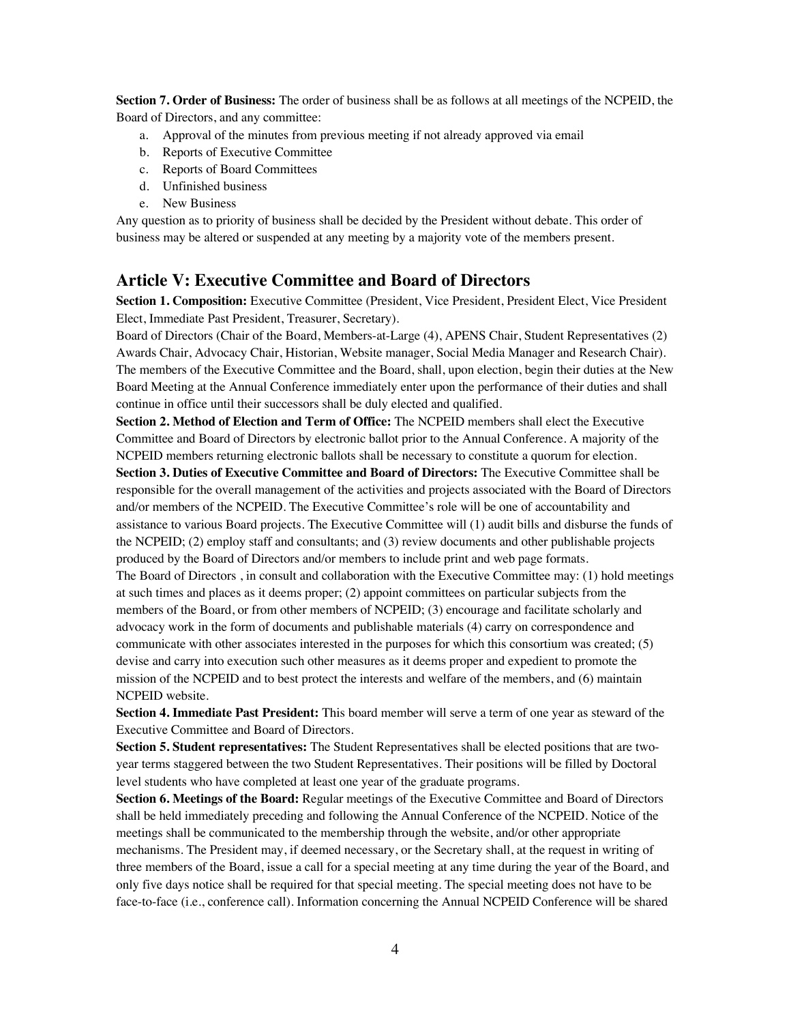**Section 7. Order of Business:** The order of business shall be as follows at all meetings of the NCPEID, the Board of Directors, and any committee:

- a. Approval of the minutes from previous meeting if not already approved via email
- b. Reports of Executive Committee
- c. Reports of Board Committees
- d. Unfinished business
- e. New Business

Any question as to priority of business shall be decided by the President without debate. This order of business may be altered or suspended at any meeting by a majority vote of the members present.

## **Article V: Executive Committee and Board of Directors**

**Section 1. Composition:** Executive Committee (President, Vice President, President Elect, Vice President Elect, Immediate Past President, Treasurer, Secretary).

Board of Directors (Chair of the Board, Members-at-Large (4), APENS Chair, Student Representatives (2) Awards Chair, Advocacy Chair, Historian, Website manager, Social Media Manager and Research Chair). The members of the Executive Committee and the Board, shall, upon election, begin their duties at the New Board Meeting at the Annual Conference immediately enter upon the performance of their duties and shall continue in office until their successors shall be duly elected and qualified.

**Section 2. Method of Election and Term of Office:** The NCPEID members shall elect the Executive Committee and Board of Directors by electronic ballot prior to the Annual Conference. A majority of the NCPEID members returning electronic ballots shall be necessary to constitute a quorum for election. **Section 3. Duties of Executive Committee and Board of Directors:** The Executive Committee shall be responsible for the overall management of the activities and projects associated with the Board of Directors and/or members of the NCPEID. The Executive Committee's role will be one of accountability and assistance to various Board projects. The Executive Committee will (1) audit bills and disburse the funds of the NCPEID; (2) employ staff and consultants; and (3) review documents and other publishable projects produced by the Board of Directors and/or members to include print and web page formats. The Board of Directors , in consult and collaboration with the Executive Committee may: (1) hold meetings at such times and places as it deems proper; (2) appoint committees on particular subjects from the

members of the Board, or from other members of NCPEID; (3) encourage and facilitate scholarly and advocacy work in the form of documents and publishable materials (4) carry on correspondence and communicate with other associates interested in the purposes for which this consortium was created; (5) devise and carry into execution such other measures as it deems proper and expedient to promote the mission of the NCPEID and to best protect the interests and welfare of the members, and (6) maintain NCPEID website.

**Section 4. Immediate Past President:** This board member will serve a term of one year as steward of the Executive Committee and Board of Directors.

**Section 5. Student representatives:** The Student Representatives shall be elected positions that are twoyear terms staggered between the two Student Representatives. Their positions will be filled by Doctoral level students who have completed at least one year of the graduate programs.

**Section 6. Meetings of the Board:** Regular meetings of the Executive Committee and Board of Directors shall be held immediately preceding and following the Annual Conference of the NCPEID. Notice of the meetings shall be communicated to the membership through the website, and/or other appropriate mechanisms. The President may, if deemed necessary, or the Secretary shall, at the request in writing of three members of the Board, issue a call for a special meeting at any time during the year of the Board, and only five days notice shall be required for that special meeting. The special meeting does not have to be face-to-face (i.e., conference call). Information concerning the Annual NCPEID Conference will be shared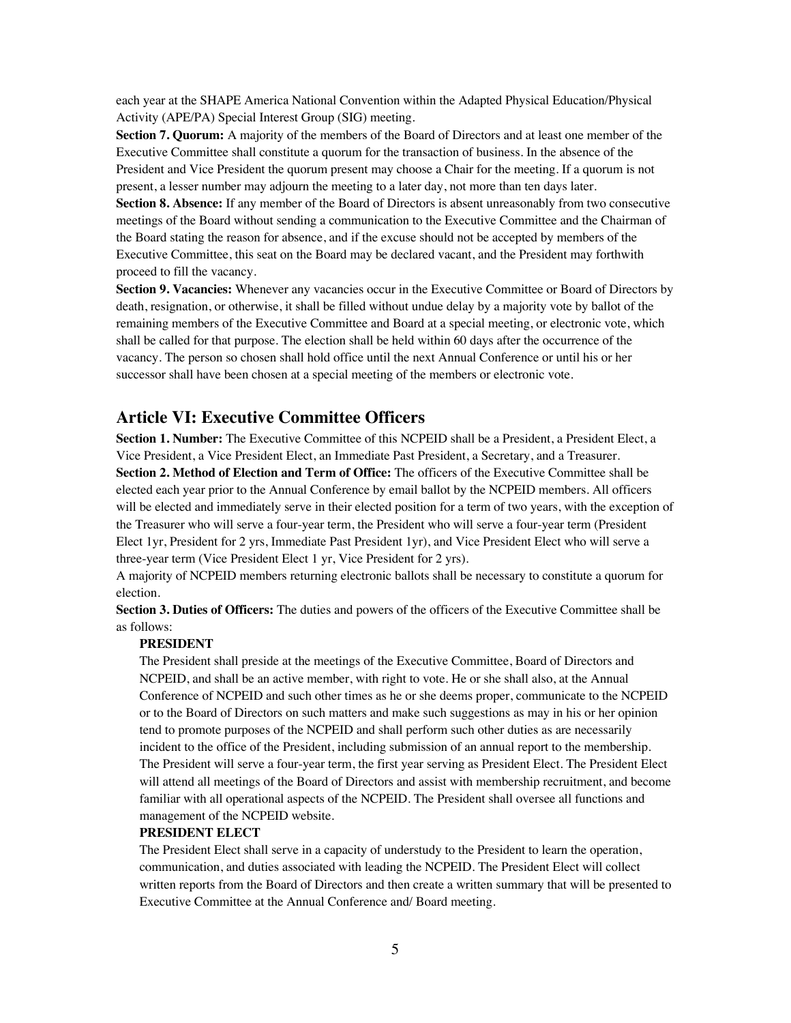each year at the SHAPE America National Convention within the Adapted Physical Education/Physical Activity (APE/PA) Special Interest Group (SIG) meeting.

**Section 7. Quorum:** A majority of the members of the Board of Directors and at least one member of the Executive Committee shall constitute a quorum for the transaction of business. In the absence of the President and Vice President the quorum present may choose a Chair for the meeting. If a quorum is not present, a lesser number may adjourn the meeting to a later day, not more than ten days later.

**Section 8. Absence:** If any member of the Board of Directors is absent unreasonably from two consecutive meetings of the Board without sending a communication to the Executive Committee and the Chairman of the Board stating the reason for absence, and if the excuse should not be accepted by members of the Executive Committee, this seat on the Board may be declared vacant, and the President may forthwith proceed to fill the vacancy.

**Section 9. Vacancies:** Whenever any vacancies occur in the Executive Committee or Board of Directors by death, resignation, or otherwise, it shall be filled without undue delay by a majority vote by ballot of the remaining members of the Executive Committee and Board at a special meeting, or electronic vote, which shall be called for that purpose. The election shall be held within 60 days after the occurrence of the vacancy. The person so chosen shall hold office until the next Annual Conference or until his or her successor shall have been chosen at a special meeting of the members or electronic vote.

## **Article VI: Executive Committee Officers**

**Section 1. Number:** The Executive Committee of this NCPEID shall be a President, a President Elect, a Vice President, a Vice President Elect, an Immediate Past President, a Secretary, and a Treasurer. **Section 2. Method of Election and Term of Office:** The officers of the Executive Committee shall be elected each year prior to the Annual Conference by email ballot by the NCPEID members. All officers will be elected and immediately serve in their elected position for a term of two years, with the exception of the Treasurer who will serve a four-year term, the President who will serve a four-year term (President Elect 1yr, President for 2 yrs, Immediate Past President 1yr), and Vice President Elect who will serve a three-year term (Vice President Elect 1 yr, Vice President for 2 yrs).

A majority of NCPEID members returning electronic ballots shall be necessary to constitute a quorum for election.

**Section 3. Duties of Officers:** The duties and powers of the officers of the Executive Committee shall be as follows:

### **PRESIDENT**

The President shall preside at the meetings of the Executive Committee, Board of Directors and NCPEID, and shall be an active member, with right to vote. He or she shall also, at the Annual Conference of NCPEID and such other times as he or she deems proper, communicate to the NCPEID or to the Board of Directors on such matters and make such suggestions as may in his or her opinion tend to promote purposes of the NCPEID and shall perform such other duties as are necessarily incident to the office of the President, including submission of an annual report to the membership. The President will serve a four-year term, the first year serving as President Elect. The President Elect will attend all meetings of the Board of Directors and assist with membership recruitment, and become familiar with all operational aspects of the NCPEID. The President shall oversee all functions and management of the NCPEID website.

### **PRESIDENT ELECT**

The President Elect shall serve in a capacity of understudy to the President to learn the operation, communication, and duties associated with leading the NCPEID. The President Elect will collect written reports from the Board of Directors and then create a written summary that will be presented to Executive Committee at the Annual Conference and/ Board meeting.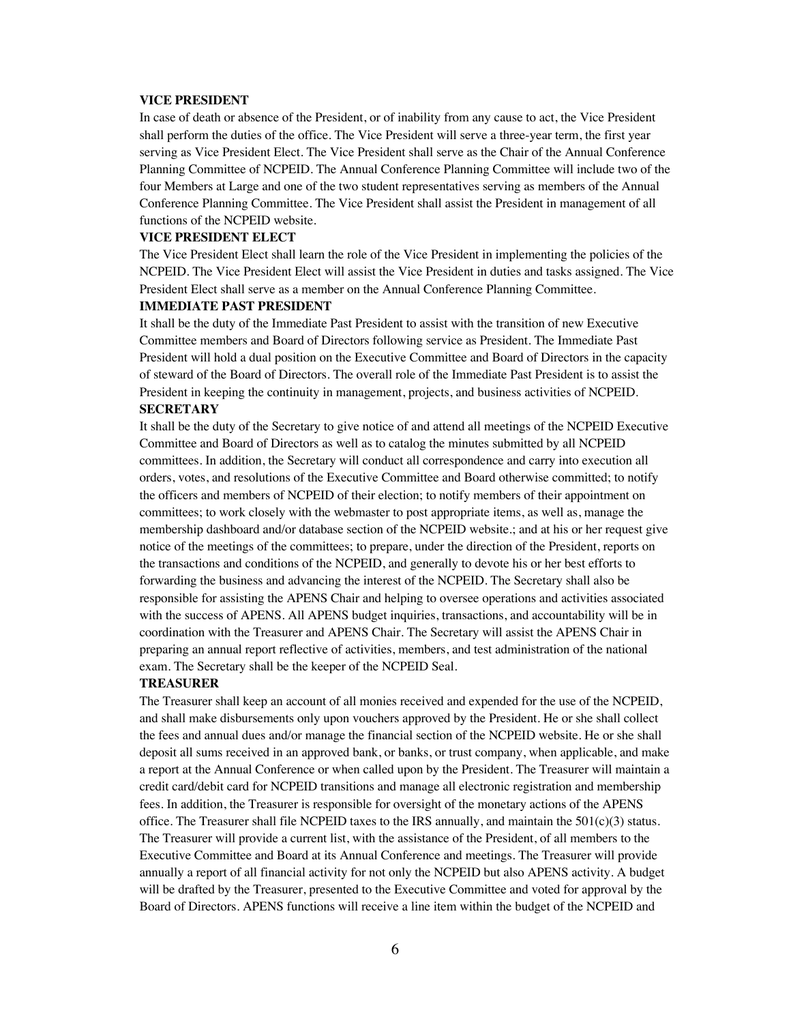### **VICE PRESIDENT**

In case of death or absence of the President, or of inability from any cause to act, the Vice President shall perform the duties of the office. The Vice President will serve a three-year term, the first year serving as Vice President Elect. The Vice President shall serve as the Chair of the Annual Conference Planning Committee of NCPEID. The Annual Conference Planning Committee will include two of the four Members at Large and one of the two student representatives serving as members of the Annual Conference Planning Committee. The Vice President shall assist the President in management of all functions of the NCPEID website.

### **VICE PRESIDENT ELECT**

The Vice President Elect shall learn the role of the Vice President in implementing the policies of the NCPEID. The Vice President Elect will assist the Vice President in duties and tasks assigned. The Vice President Elect shall serve as a member on the Annual Conference Planning Committee.

#### **IMMEDIATE PAST PRESIDENT**

It shall be the duty of the Immediate Past President to assist with the transition of new Executive Committee members and Board of Directors following service as President. The Immediate Past President will hold a dual position on the Executive Committee and Board of Directors in the capacity of steward of the Board of Directors. The overall role of the Immediate Past President is to assist the President in keeping the continuity in management, projects, and business activities of NCPEID. **SECRETARY**

## It shall be the duty of the Secretary to give notice of and attend all meetings of the NCPEID Executive Committee and Board of Directors as well as to catalog the minutes submitted by all NCPEID committees. In addition, the Secretary will conduct all correspondence and carry into execution all orders, votes, and resolutions of the Executive Committee and Board otherwise committed; to notify the officers and members of NCPEID of their election; to notify members of their appointment on committees; to work closely with the webmaster to post appropriate items, as well as, manage the membership dashboard and/or database section of the NCPEID website.; and at his or her request give notice of the meetings of the committees; to prepare, under the direction of the President, reports on the transactions and conditions of the NCPEID, and generally to devote his or her best efforts to forwarding the business and advancing the interest of the NCPEID. The Secretary shall also be responsible for assisting the APENS Chair and helping to oversee operations and activities associated with the success of APENS. All APENS budget inquiries, transactions, and accountability will be in coordination with the Treasurer and APENS Chair. The Secretary will assist the APENS Chair in preparing an annual report reflective of activities, members, and test administration of the national exam. The Secretary shall be the keeper of the NCPEID Seal.

### **TREASURER**

The Treasurer shall keep an account of all monies received and expended for the use of the NCPEID, and shall make disbursements only upon vouchers approved by the President. He or she shall collect the fees and annual dues and/or manage the financial section of the NCPEID website. He or she shall deposit all sums received in an approved bank, or banks, or trust company, when applicable, and make a report at the Annual Conference or when called upon by the President. The Treasurer will maintain a credit card/debit card for NCPEID transitions and manage all electronic registration and membership fees. In addition, the Treasurer is responsible for oversight of the monetary actions of the APENS office. The Treasurer shall file NCPEID taxes to the IRS annually, and maintain the  $501(c)(3)$  status. The Treasurer will provide a current list, with the assistance of the President, of all members to the Executive Committee and Board at its Annual Conference and meetings. The Treasurer will provide annually a report of all financial activity for not only the NCPEID but also APENS activity. A budget will be drafted by the Treasurer, presented to the Executive Committee and voted for approval by the Board of Directors. APENS functions will receive a line item within the budget of the NCPEID and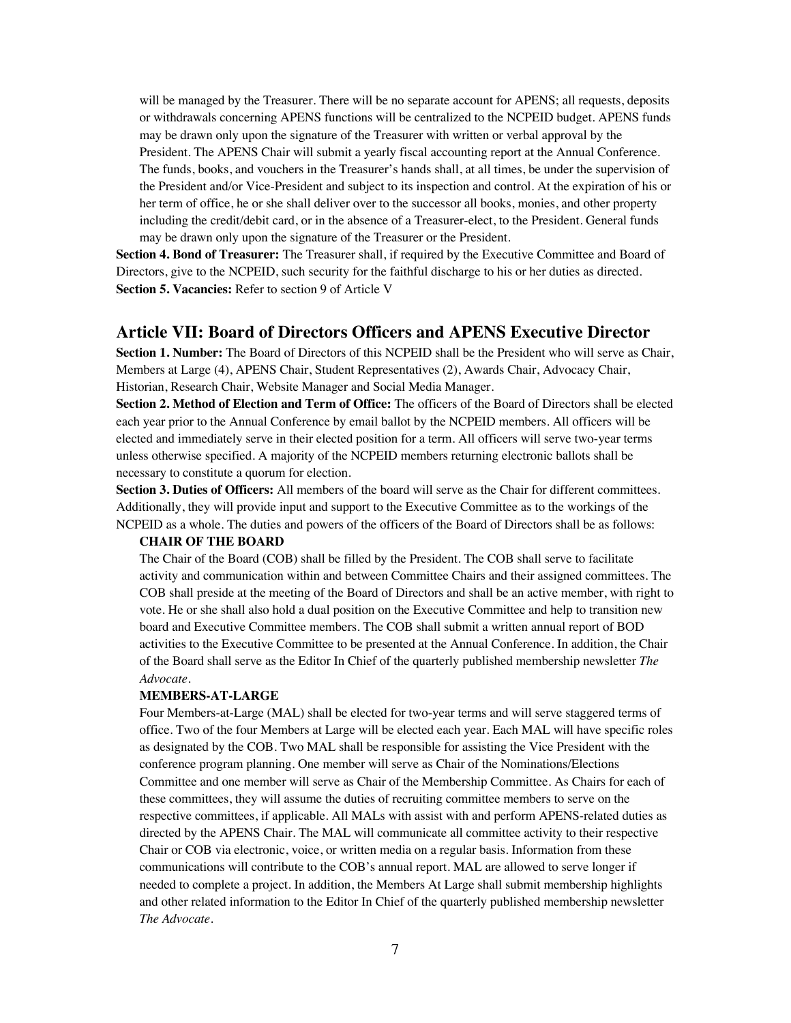will be managed by the Treasurer. There will be no separate account for APENS; all requests, deposits or withdrawals concerning APENS functions will be centralized to the NCPEID budget. APENS funds may be drawn only upon the signature of the Treasurer with written or verbal approval by the President. The APENS Chair will submit a yearly fiscal accounting report at the Annual Conference. The funds, books, and vouchers in the Treasurer's hands shall, at all times, be under the supervision of the President and/or Vice-President and subject to its inspection and control. At the expiration of his or her term of office, he or she shall deliver over to the successor all books, monies, and other property including the credit/debit card, or in the absence of a Treasurer-elect, to the President. General funds may be drawn only upon the signature of the Treasurer or the President.

**Section 4. Bond of Treasurer:** The Treasurer shall, if required by the Executive Committee and Board of Directors, give to the NCPEID, such security for the faithful discharge to his or her duties as directed. **Section 5. Vacancies:** Refer to section 9 of Article V

## **Article VII: Board of Directors Officers and APENS Executive Director**

**Section 1. Number:** The Board of Directors of this NCPEID shall be the President who will serve as Chair, Members at Large (4), APENS Chair, Student Representatives (2), Awards Chair, Advocacy Chair, Historian, Research Chair, Website Manager and Social Media Manager.

**Section 2. Method of Election and Term of Office:** The officers of the Board of Directors shall be elected each year prior to the Annual Conference by email ballot by the NCPEID members. All officers will be elected and immediately serve in their elected position for a term. All officers will serve two-year terms unless otherwise specified. A majority of the NCPEID members returning electronic ballots shall be necessary to constitute a quorum for election.

**Section 3. Duties of Officers:** All members of the board will serve as the Chair for different committees. Additionally, they will provide input and support to the Executive Committee as to the workings of the NCPEID as a whole. The duties and powers of the officers of the Board of Directors shall be as follows:

#### **CHAIR OF THE BOARD**

The Chair of the Board (COB) shall be filled by the President. The COB shall serve to facilitate activity and communication within and between Committee Chairs and their assigned committees. The COB shall preside at the meeting of the Board of Directors and shall be an active member, with right to vote. He or she shall also hold a dual position on the Executive Committee and help to transition new board and Executive Committee members. The COB shall submit a written annual report of BOD activities to the Executive Committee to be presented at the Annual Conference. In addition, the Chair of the Board shall serve as the Editor In Chief of the quarterly published membership newsletter *The Advocate*.

#### **MEMBERS-AT-LARGE**

Four Members-at-Large (MAL) shall be elected for two-year terms and will serve staggered terms of office. Two of the four Members at Large will be elected each year. Each MAL will have specific roles as designated by the COB. Two MAL shall be responsible for assisting the Vice President with the conference program planning. One member will serve as Chair of the Nominations/Elections Committee and one member will serve as Chair of the Membership Committee. As Chairs for each of these committees, they will assume the duties of recruiting committee members to serve on the respective committees, if applicable. All MALs with assist with and perform APENS-related duties as directed by the APENS Chair. The MAL will communicate all committee activity to their respective Chair or COB via electronic, voice, or written media on a regular basis. Information from these communications will contribute to the COB's annual report. MAL are allowed to serve longer if needed to complete a project. In addition, the Members At Large shall submit membership highlights and other related information to the Editor In Chief of the quarterly published membership newsletter *The Advocate*.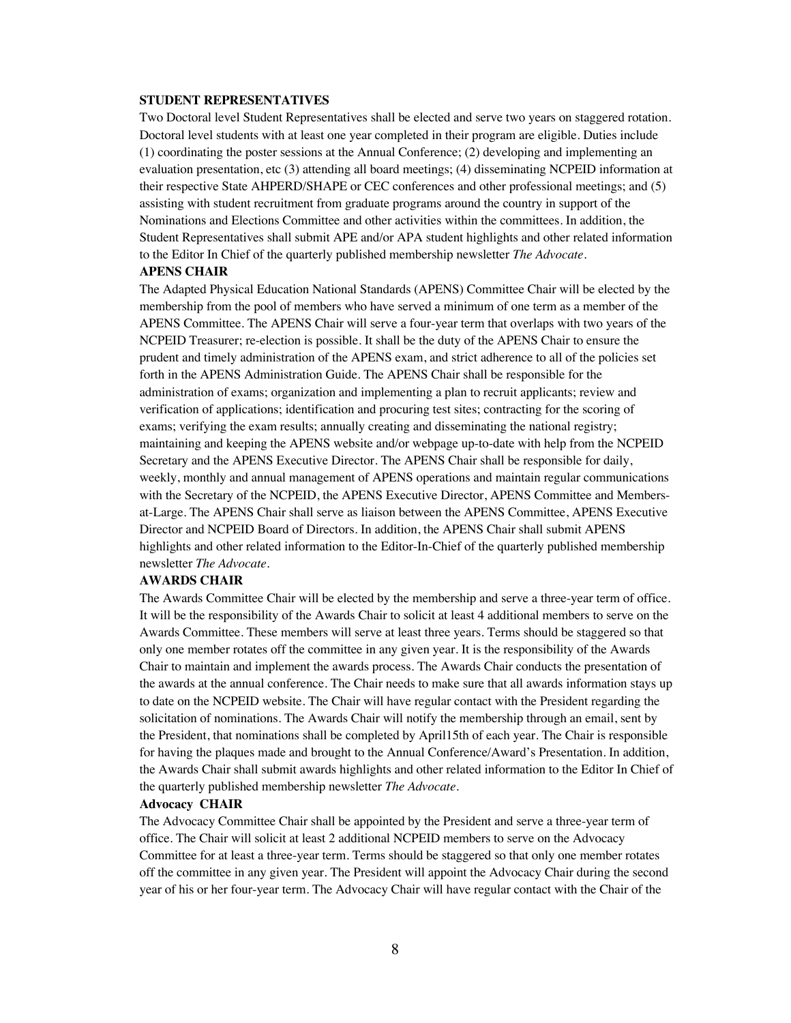### **STUDENT REPRESENTATIVES**

Two Doctoral level Student Representatives shall be elected and serve two years on staggered rotation. Doctoral level students with at least one year completed in their program are eligible. Duties include (1) coordinating the poster sessions at the Annual Conference; (2) developing and implementing an evaluation presentation, etc (3) attending all board meetings; (4) disseminating NCPEID information at their respective State AHPERD/SHAPE or CEC conferences and other professional meetings; and (5) assisting with student recruitment from graduate programs around the country in support of the Nominations and Elections Committee and other activities within the committees. In addition, the Student Representatives shall submit APE and/or APA student highlights and other related information to the Editor In Chief of the quarterly published membership newsletter *The Advocate*.

## **APENS CHAIR** The Adapted Physical Education National Standards (APENS) Committee Chair will be elected by the

membership from the pool of members who have served a minimum of one term as a member of the APENS Committee. The APENS Chair will serve a four-year term that overlaps with two years of the NCPEID Treasurer; re-election is possible. It shall be the duty of the APENS Chair to ensure the prudent and timely administration of the APENS exam, and strict adherence to all of the policies set forth in the APENS Administration Guide. The APENS Chair shall be responsible for the administration of exams; organization and implementing a plan to recruit applicants; review and verification of applications; identification and procuring test sites; contracting for the scoring of exams; verifying the exam results; annually creating and disseminating the national registry; maintaining and keeping the APENS website and/or webpage up-to-date with help from the NCPEID Secretary and the APENS Executive Director. The APENS Chair shall be responsible for daily, weekly, monthly and annual management of APENS operations and maintain regular communications with the Secretary of the NCPEID, the APENS Executive Director, APENS Committee and Membersat-Large. The APENS Chair shall serve as liaison between the APENS Committee, APENS Executive Director and NCPEID Board of Directors. In addition, the APENS Chair shall submit APENS highlights and other related information to the Editor-In-Chief of the quarterly published membership newsletter *The Advocate*.

#### **AWARDS CHAIR**

The Awards Committee Chair will be elected by the membership and serve a three-year term of office. It will be the responsibility of the Awards Chair to solicit at least 4 additional members to serve on the Awards Committee. These members will serve at least three years. Terms should be staggered so that only one member rotates off the committee in any given year. It is the responsibility of the Awards Chair to maintain and implement the awards process. The Awards Chair conducts the presentation of the awards at the annual conference. The Chair needs to make sure that all awards information stays up to date on the NCPEID website. The Chair will have regular contact with the President regarding the solicitation of nominations. The Awards Chair will notify the membership through an email, sent by the President, that nominations shall be completed by April15th of each year. The Chair is responsible for having the plaques made and brought to the Annual Conference/Award's Presentation. In addition, the Awards Chair shall submit awards highlights and other related information to the Editor In Chief of the quarterly published membership newsletter *The Advocate*.

#### **Advocacy CHAIR**

The Advocacy Committee Chair shall be appointed by the President and serve a three-year term of office. The Chair will solicit at least 2 additional NCPEID members to serve on the Advocacy Committee for at least a three-year term. Terms should be staggered so that only one member rotates off the committee in any given year. The President will appoint the Advocacy Chair during the second year of his or her four-year term. The Advocacy Chair will have regular contact with the Chair of the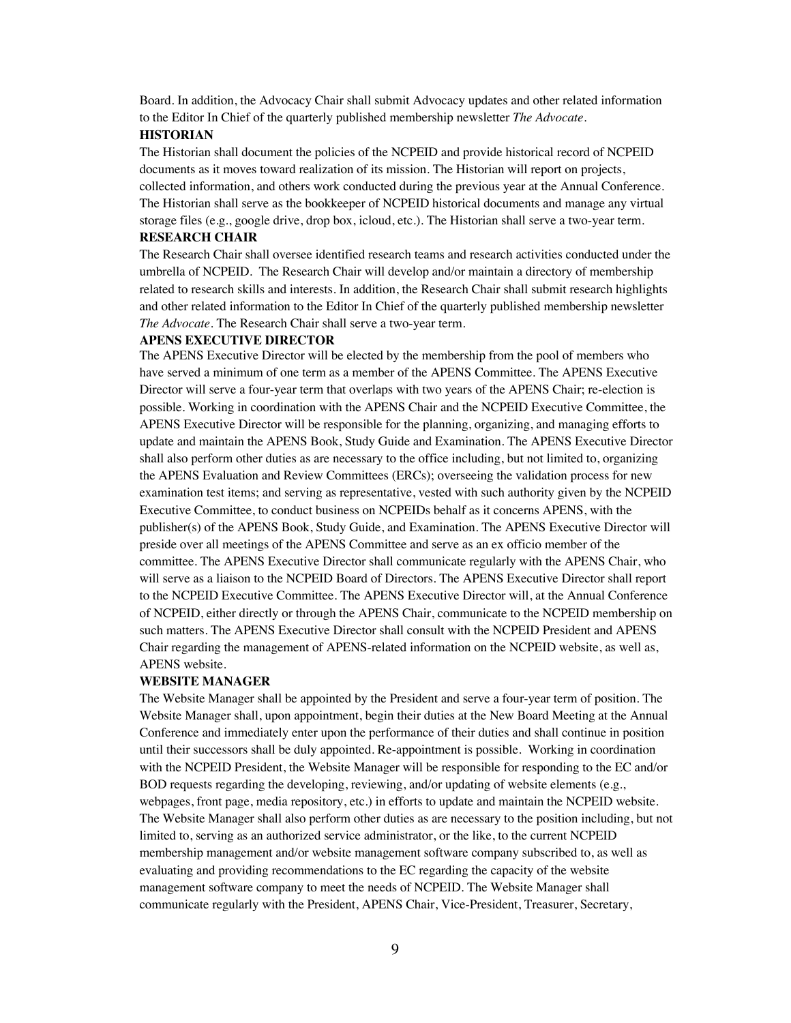Board. In addition, the Advocacy Chair shall submit Advocacy updates and other related information to the Editor In Chief of the quarterly published membership newsletter *The Advocate*.

### **HISTORIAN**

The Historian shall document the policies of the NCPEID and provide historical record of NCPEID documents as it moves toward realization of its mission. The Historian will report on projects, collected information, and others work conducted during the previous year at the Annual Conference. The Historian shall serve as the bookkeeper of NCPEID historical documents and manage any virtual storage files (e.g., google drive, drop box, icloud, etc.). The Historian shall serve a two-year term. **RESEARCH CHAIR**

The Research Chair shall oversee identified research teams and research activities conducted under the umbrella of NCPEID. The Research Chair will develop and/or maintain a directory of membership related to research skills and interests. In addition, the Research Chair shall submit research highlights and other related information to the Editor In Chief of the quarterly published membership newsletter *The Advocate*. The Research Chair shall serve a two-year term.

#### **APENS EXECUTIVE DIRECTOR**

The APENS Executive Director will be elected by the membership from the pool of members who have served a minimum of one term as a member of the APENS Committee. The APENS Executive Director will serve a four-year term that overlaps with two years of the APENS Chair; re-election is possible. Working in coordination with the APENS Chair and the NCPEID Executive Committee, the APENS Executive Director will be responsible for the planning, organizing, and managing efforts to update and maintain the APENS Book, Study Guide and Examination. The APENS Executive Director shall also perform other duties as are necessary to the office including, but not limited to, organizing the APENS Evaluation and Review Committees (ERCs); overseeing the validation process for new examination test items; and serving as representative, vested with such authority given by the NCPEID Executive Committee, to conduct business on NCPEIDs behalf as it concerns APENS, with the publisher(s) of the APENS Book, Study Guide, and Examination. The APENS Executive Director will preside over all meetings of the APENS Committee and serve as an ex officio member of the committee. The APENS Executive Director shall communicate regularly with the APENS Chair, who will serve as a liaison to the NCPEID Board of Directors. The APENS Executive Director shall report to the NCPEID Executive Committee. The APENS Executive Director will, at the Annual Conference of NCPEID, either directly or through the APENS Chair, communicate to the NCPEID membership on such matters. The APENS Executive Director shall consult with the NCPEID President and APENS Chair regarding the management of APENS-related information on the NCPEID website, as well as, APENS website.

#### **WEBSITE MANAGER**

The Website Manager shall be appointed by the President and serve a four-year term of position. The Website Manager shall, upon appointment, begin their duties at the New Board Meeting at the Annual Conference and immediately enter upon the performance of their duties and shall continue in position until their successors shall be duly appointed. Re-appointment is possible. Working in coordination with the NCPEID President, the Website Manager will be responsible for responding to the EC and/or BOD requests regarding the developing, reviewing, and/or updating of website elements (e.g., webpages, front page, media repository, etc.) in efforts to update and maintain the NCPEID website. The Website Manager shall also perform other duties as are necessary to the position including, but not limited to, serving as an authorized service administrator, or the like, to the current NCPEID membership management and/or website management software company subscribed to, as well as evaluating and providing recommendations to the EC regarding the capacity of the website management software company to meet the needs of NCPEID. The Website Manager shall communicate regularly with the President, APENS Chair, Vice-President, Treasurer, Secretary,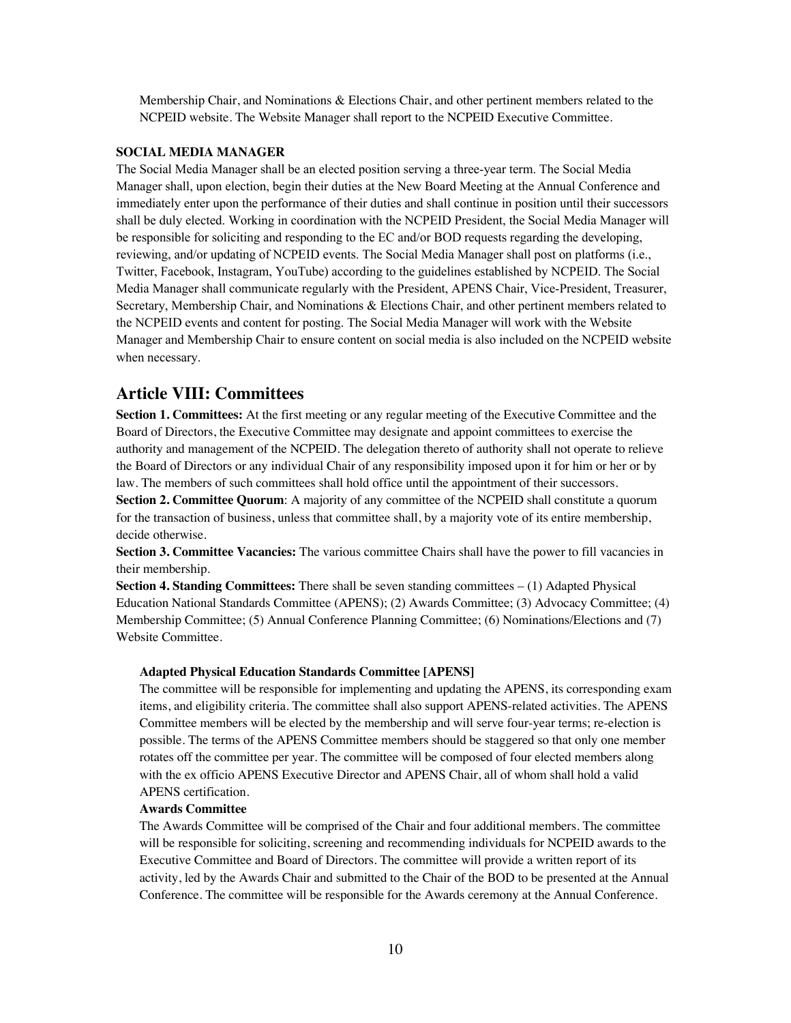Membership Chair, and Nominations & Elections Chair, and other pertinent members related to the NCPEID website. The Website Manager shall report to the NCPEID Executive Committee.

### **SOCIAL MEDIA MANAGER**

The Social Media Manager shall be an elected position serving a three-year term. The Social Media Manager shall, upon election, begin their duties at the New Board Meeting at the Annual Conference and immediately enter upon the performance of their duties and shall continue in position until their successors shall be duly elected. Working in coordination with the NCPEID President, the Social Media Manager will be responsible for soliciting and responding to the EC and/or BOD requests regarding the developing, reviewing, and/or updating of NCPEID events. The Social Media Manager shall post on platforms (i.e., Twitter, Facebook, Instagram, YouTube) according to the guidelines established by NCPEID. The Social Media Manager shall communicate regularly with the President, APENS Chair, Vice-President, Treasurer, Secretary, Membership Chair, and Nominations & Elections Chair, and other pertinent members related to the NCPEID events and content for posting. The Social Media Manager will work with the Website Manager and Membership Chair to ensure content on social media is also included on the NCPEID website when necessary.

## **Article VIII: Committees**

**Section 1. Committees:** At the first meeting or any regular meeting of the Executive Committee and the Board of Directors, the Executive Committee may designate and appoint committees to exercise the authority and management of the NCPEID. The delegation thereto of authority shall not operate to relieve the Board of Directors or any individual Chair of any responsibility imposed upon it for him or her or by law. The members of such committees shall hold office until the appointment of their successors.

**Section 2. Committee Quorum**: A majority of any committee of the NCPEID shall constitute a quorum for the transaction of business, unless that committee shall, by a majority vote of its entire membership, decide otherwise.

**Section 3. Committee Vacancies:** The various committee Chairs shall have the power to fill vacancies in their membership.

**Section 4. Standing Committees:** There shall be seven standing committees – (1) Adapted Physical Education National Standards Committee (APENS); (2) Awards Committee; (3) Advocacy Committee; (4) Membership Committee; (5) Annual Conference Planning Committee; (6) Nominations/Elections and (7) Website Committee.

#### **Adapted Physical Education Standards Committee [APENS]**

The committee will be responsible for implementing and updating the APENS, its corresponding exam items, and eligibility criteria. The committee shall also support APENS-related activities. The APENS Committee members will be elected by the membership and will serve four-year terms; re-election is possible. The terms of the APENS Committee members should be staggered so that only one member rotates off the committee per year. The committee will be composed of four elected members along with the ex officio APENS Executive Director and APENS Chair, all of whom shall hold a valid APENS certification.

### **Awards Committee**

The Awards Committee will be comprised of the Chair and four additional members. The committee will be responsible for soliciting, screening and recommending individuals for NCPEID awards to the Executive Committee and Board of Directors. The committee will provide a written report of its activity, led by the Awards Chair and submitted to the Chair of the BOD to be presented at the Annual Conference. The committee will be responsible for the Awards ceremony at the Annual Conference.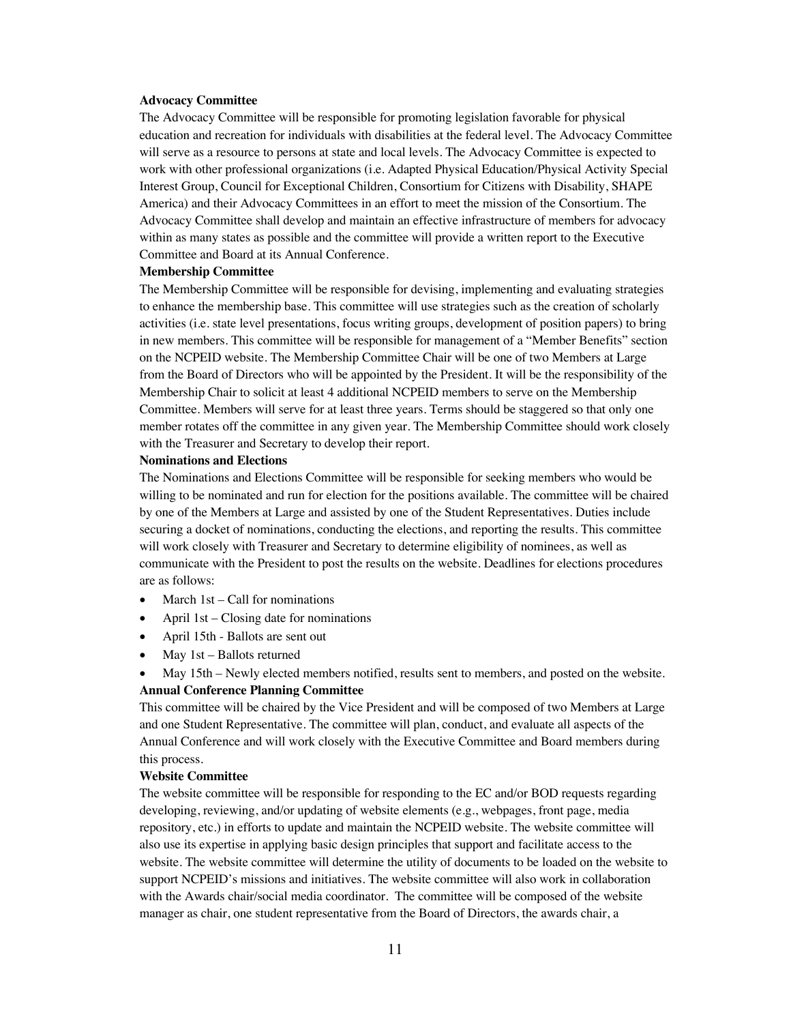#### **Advocacy Committee**

The Advocacy Committee will be responsible for promoting legislation favorable for physical education and recreation for individuals with disabilities at the federal level. The Advocacy Committee will serve as a resource to persons at state and local levels. The Advocacy Committee is expected to work with other professional organizations (i.e. Adapted Physical Education/Physical Activity Special Interest Group, Council for Exceptional Children, Consortium for Citizens with Disability, SHAPE America) and their Advocacy Committees in an effort to meet the mission of the Consortium. The Advocacy Committee shall develop and maintain an effective infrastructure of members for advocacy within as many states as possible and the committee will provide a written report to the Executive Committee and Board at its Annual Conference.

#### **Membership Committee**

The Membership Committee will be responsible for devising, implementing and evaluating strategies to enhance the membership base. This committee will use strategies such as the creation of scholarly activities (i.e. state level presentations, focus writing groups, development of position papers) to bring in new members. This committee will be responsible for management of a "Member Benefits" section on the NCPEID website. The Membership Committee Chair will be one of two Members at Large from the Board of Directors who will be appointed by the President. It will be the responsibility of the Membership Chair to solicit at least 4 additional NCPEID members to serve on the Membership Committee. Members will serve for at least three years. Terms should be staggered so that only one member rotates off the committee in any given year. The Membership Committee should work closely with the Treasurer and Secretary to develop their report.

#### **Nominations and Elections**

The Nominations and Elections Committee will be responsible for seeking members who would be willing to be nominated and run for election for the positions available. The committee will be chaired by one of the Members at Large and assisted by one of the Student Representatives. Duties include securing a docket of nominations, conducting the elections, and reporting the results. This committee will work closely with Treasurer and Secretary to determine eligibility of nominees, as well as communicate with the President to post the results on the website. Deadlines for elections procedures are as follows:

- March  $1st Call$  for nominations
- April 1st Closing date for nominations
- April 15th Ballots are sent out
- May 1st Ballots returned
- May 15th Newly elected members notified, results sent to members, and posted on the website. **Annual Conference Planning Committee**

This committee will be chaired by the Vice President and will be composed of two Members at Large and one Student Representative. The committee will plan, conduct, and evaluate all aspects of the Annual Conference and will work closely with the Executive Committee and Board members during this process.

#### **Website Committee**

The website committee will be responsible for responding to the EC and/or BOD requests regarding developing, reviewing, and/or updating of website elements (e.g., webpages, front page, media repository, etc.) in efforts to update and maintain the NCPEID website. The website committee will also use its expertise in applying basic design principles that support and facilitate access to the website. The website committee will determine the utility of documents to be loaded on the website to support NCPEID's missions and initiatives. The website committee will also work in collaboration with the Awards chair/social media coordinator. The committee will be composed of the website manager as chair, one student representative from the Board of Directors, the awards chair, a